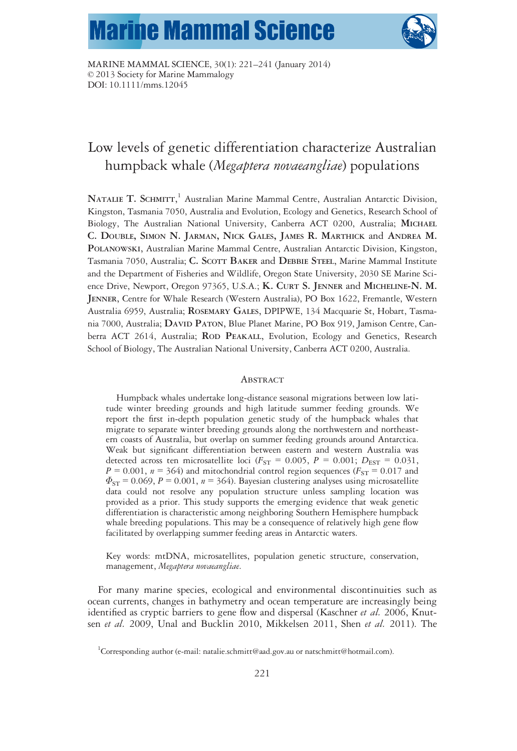# **Marine Mammal Science**



MARINE MAMMAL SCIENCE, 30(1): 221–241 (January 2014) © 2013 Society for Marine Mammalogy DOI: 10.1111/mms.12045

# Low levels of genetic differentiation characterize Australian humpback whale (Megaptera novaeangliae) populations

NATALIE T. SCHMITT, <sup>1</sup> Australian Marine Mammal Centre, Australian Antarctic Division, Kingston, Tasmania 7050, Australia and Evolution, Ecology and Genetics, Research School of Biology, The Australian National University, Canberra ACT 0200, Australia; MICHAEL C. DOUBLE, SIMON N. JARMAN, NICK GALES, JAMES R. MARTHICK and ANDREA M. POLANOWSKI, Australian Marine Mammal Centre, Australian Antarctic Division, Kingston, Tasmania 7050, Australia; C. SCOTT BAKER and DEBBIE STEEL, Marine Mammal Institute and the Department of Fisheries and Wildlife, Oregon State University, 2030 SE Marine Science Drive, Newport, Oregon 97365, U.S.A.; K. CURT S. JENNER and MICHELINE-N. M. JENNER, Centre for Whale Research (Western Australia), PO Box 1622, Fremantle, Western Australia 6959, Australia; ROSEMARY GALES, DPIPWE, 134 Macquarie St, Hobart, Tasmania 7000, Australia; DAVID PATON, Blue Planet Marine, PO Box 919, Jamison Centre, Canberra ACT 2614, Australia; ROD PEAKALL, Evolution, Ecology and Genetics, Research School of Biology, The Australian National University, Canberra ACT 0200, Australia.

#### **ABSTRACT**

Humpback whales undertake long-distance seasonal migrations between low latitude winter breeding grounds and high latitude summer feeding grounds. We report the first in-depth population genetic study of the humpback whales that migrate to separate winter breeding grounds along the northwestern and northeastern coasts of Australia, but overlap on summer feeding grounds around Antarctica. Weak but significant differentiation between eastern and western Australia was detected across ten microsatellite loci ( $F_{ST} = 0.005$ ,  $P = 0.001$ ;  $D_{EST} = 0.031$ ,  $P = 0.001$ ,  $n = 364$ ) and mitochondrial control region sequences ( $F_{ST} = 0.017$  and  $\Phi_{ST}$  = 0.069, P = 0.001, n = 364). Bayesian clustering analyses using microsatellite data could not resolve any population structure unless sampling location was provided as a prior. This study supports the emerging evidence that weak genetic differentiation is characteristic among neighboring Southern Hemisphere humpback whale breeding populations. This may be a consequence of relatively high gene flow facilitated by overlapping summer feeding areas in Antarctic waters.

Key words: mtDNA, microsatellites, population genetic structure, conservation, management, Megaptera novaeangliae.

For many marine species, ecological and environmental discontinuities such as ocean currents, changes in bathymetry and ocean temperature are increasingly being identified as cryptic barriers to gene flow and dispersal (Kaschner *et al.* 2006, Knutsen et al. 2009, Unal and Bucklin 2010, Mikkelsen 2011, Shen et al. 2011). The

<sup>&</sup>lt;sup>1</sup>Corresponding author (e-mail: natalie.schmitt@aad.gov.au or natschmitt@hotmail.com).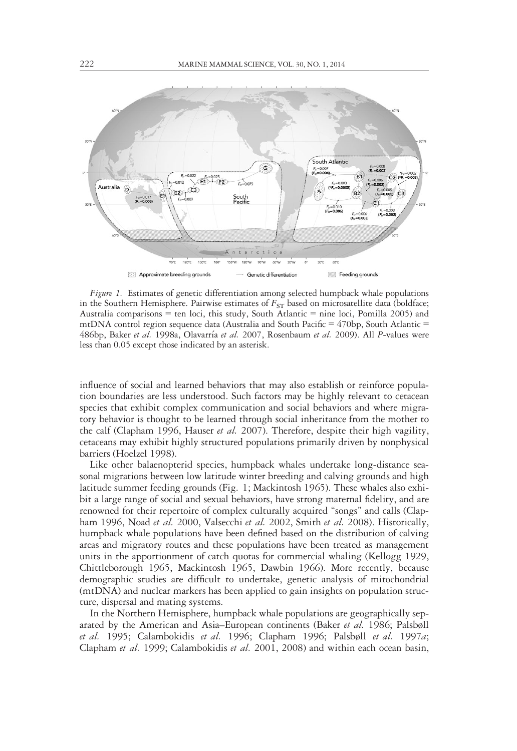

Figure 1. Estimates of genetic differentiation among selected humpback whale populations in the Southern Hemisphere. Pairwise estimates of  $F_{ST}$  based on microsatellite data (boldface; Australia comparisons  $=$  ten loci, this study, South Atlantic  $=$  nine loci, Pomilla 2005) and mtDNA control region sequence data (Australia and South Pacific  $=$  470bp, South Atlantic  $=$ 486bp, Baker et al. 1998a, Olavarría et al. 2007, Rosenbaum et al. 2009). All P-values were less than 0.05 except those indicated by an asterisk.

influence of social and learned behaviors that may also establish or reinforce population boundaries are less understood. Such factors may be highly relevant to cetacean species that exhibit complex communication and social behaviors and where migratory behavior is thought to be learned through social inheritance from the mother to the calf (Clapham 1996, Hauser *et al.* 2007). Therefore, despite their high vagility, cetaceans may exhibit highly structured populations primarily driven by nonphysical barriers (Hoelzel 1998).

Like other balaenopterid species, humpback whales undertake long-distance seasonal migrations between low latitude winter breeding and calving grounds and high latitude summer feeding grounds (Fig. 1; Mackintosh 1965). These whales also exhibit a large range of social and sexual behaviors, have strong maternal fidelity, and are renowned for their repertoire of complex culturally acquired "songs" and calls (Clapham 1996, Noad et al. 2000, Valsecchi et al. 2002, Smith et al. 2008). Historically, humpback whale populations have been defined based on the distribution of calving areas and migratory routes and these populations have been treated as management units in the apportionment of catch quotas for commercial whaling (Kellogg 1929, Chittleborough 1965, Mackintosh 1965, Dawbin 1966). More recently, because demographic studies are difficult to undertake, genetic analysis of mitochondrial (mtDNA) and nuclear markers has been applied to gain insights on population structure, dispersal and mating systems.

In the Northern Hemisphere, humpback whale populations are geographically separated by the American and Asia–European continents (Baker et al. 1986; Palsbøll et al. 1995; Calambokidis et al. 1996; Clapham 1996; Palsbøll et al. 1997a; Clapham et al. 1999; Calambokidis et al. 2001, 2008) and within each ocean basin,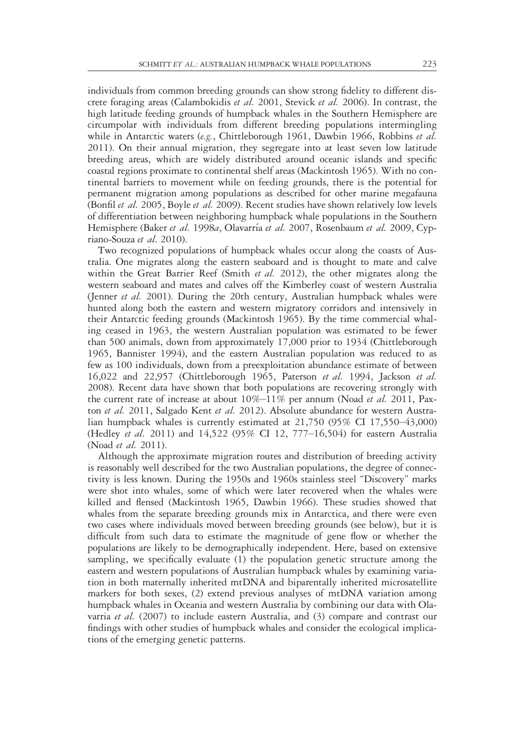individuals from common breeding grounds can show strong fidelity to different discrete foraging areas (Calambokidis et al. 2001, Stevick et al. 2006). In contrast, the high latitude feeding grounds of humpback whales in the Southern Hemisphere are circumpolar with individuals from different breeding populations intermingling while in Antarctic waters (e.g., Chittleborough 1961, Dawbin 1966, Robbins et al. 2011). On their annual migration, they segregate into at least seven low latitude breeding areas, which are widely distributed around oceanic islands and specific coastal regions proximate to continental shelf areas (Mackintosh 1965). With no continental barriers to movement while on feeding grounds, there is the potential for permanent migration among populations as described for other marine megafauna (Bonfil et al. 2005, Boyle et al. 2009). Recent studies have shown relatively low levels of differentiation between neighboring humpback whale populations in the Southern Hemisphere (Baker et al. 1998a, Olavarría et al. 2007, Rosenbaum et al. 2009, Cypriano-Souza et al. 2010).

Two recognized populations of humpback whales occur along the coasts of Australia. One migrates along the eastern seaboard and is thought to mate and calve within the Great Barrier Reef (Smith et al. 2012), the other migrates along the western seaboard and mates and calves off the Kimberley coast of western Australia (Jenner *et al.* 2001). During the 20th century, Australian humpback whales were hunted along both the eastern and western migratory corridors and intensively in their Antarctic feeding grounds (Mackintosh 1965). By the time commercial whaling ceased in 1963, the western Australian population was estimated to be fewer than 500 animals, down from approximately 17,000 prior to 1934 (Chittleborough 1965, Bannister 1994), and the eastern Australian population was reduced to as few as 100 individuals, down from a preexploitation abundance estimate of between 16,022 and 22,957 (Chittleborough 1965, Paterson et al. 1994, Jackson et al. 2008). Recent data have shown that both populations are recovering strongly with the current rate of increase at about  $10\% - 11\%$  per annum (Noad *et al.* 2011, Paxton et al. 2011, Salgado Kent et al. 2012). Absolute abundance for western Australian humpback whales is currently estimated at 21,750 (95% CI 17,550–43,000) (Hedley et al. 2011) and 14,522 (95% CI 12, 777-16,504) for eastern Australia (Noad et al. 2011).

Although the approximate migration routes and distribution of breeding activity is reasonably well described for the two Australian populations, the degree of connectivity is less known. During the 1950s and 1960s stainless steel "Discovery" marks were shot into whales, some of which were later recovered when the whales were killed and flensed (Mackintosh 1965, Dawbin 1966). These studies showed that whales from the separate breeding grounds mix in Antarctica, and there were even two cases where individuals moved between breeding grounds (see below), but it is difficult from such data to estimate the magnitude of gene flow or whether the populations are likely to be demographically independent. Here, based on extensive sampling, we specifically evaluate (1) the population genetic structure among the eastern and western populations of Australian humpback whales by examining variation in both maternally inherited mtDNA and biparentally inherited microsatellite markers for both sexes, (2) extend previous analyses of mtDNA variation among humpback whales in Oceania and western Australia by combining our data with Olavarria et al. (2007) to include eastern Australia, and (3) compare and contrast our findings with other studies of humpback whales and consider the ecological implications of the emerging genetic patterns.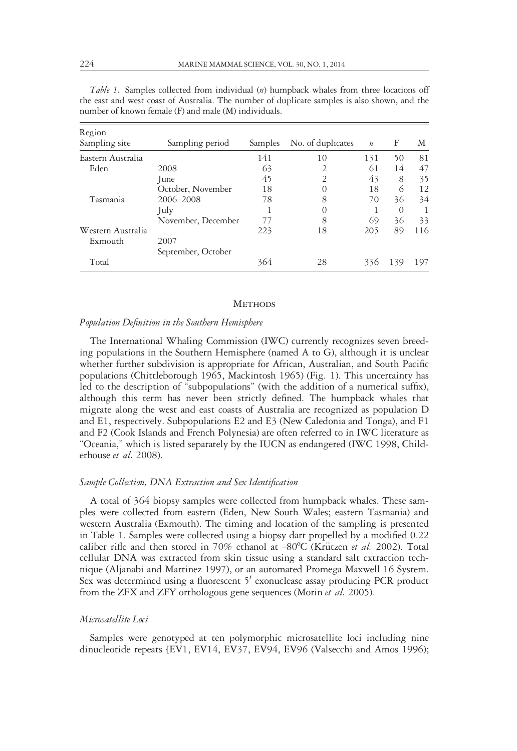| Region<br>Sampling site      | Sampling period            | Samples | No. of duplicates | $\boldsymbol{n}$ | F        | М   |
|------------------------------|----------------------------|---------|-------------------|------------------|----------|-----|
| Eastern Australia            |                            | 141     | 10                | 131              | 50       | 81  |
| Eden                         | 2008                       | 63      | $\overline{2}$    | 61               | 14       | 47  |
|                              | June                       | 45      | $\overline{2}$    | 43               | 8        | 35  |
|                              | October, November          | 18      | $\Omega$          | 18               | 6        | 12  |
| Tasmania                     | 2006-2008                  | 78      | 8                 | 70               | 36       | 34  |
|                              | July                       |         | $\theta$          |                  | $\Omega$ |     |
|                              | November, December         | 77      | 8                 | 69               | 36       | 33  |
| Western Australia<br>Exmouth | 2007<br>September, October | 223     | 18                | 205              | 89       | 116 |
| Total                        |                            | 364     | 28                | 336              | 139      | 197 |

Table 1. Samples collected from individual (n) humpback whales from three locations off the east and west coast of Australia. The number of duplicate samples is also shown, and the number of known female (F) and male (M) individuals.

### **METHODS**

#### Population Definition in the Southern Hemisphere

The International Whaling Commission (IWC) currently recognizes seven breeding populations in the Southern Hemisphere (named A to G), although it is unclear whether further subdivision is appropriate for African, Australian, and South Pacific populations (Chittleborough 1965, Mackintosh 1965) (Fig. 1). This uncertainty has led to the description of "subpopulations" (with the addition of a numerical suffix), although this term has never been strictly defined. The humpback whales that migrate along the west and east coasts of Australia are recognized as population D and E1, respectively. Subpopulations E2 and E3 (New Caledonia and Tonga), and F1 and F2 (Cook Islands and French Polynesia) are often referred to in IWC literature as "Oceania," which is listed separately by the IUCN as endangered (IWC 1998, Childerhouse et al. 2008).

### Sample Collection, DNA Extraction and Sex Identification

A total of 364 biopsy samples were collected from humpback whales. These samples were collected from eastern (Eden, New South Wales; eastern Tasmania) and western Australia (Exmouth). The timing and location of the sampling is presented in Table 1. Samples were collected using a biopsy dart propelled by a modified 0.22 caliber rifle and then stored in 70% ethanol at  $-80^{\circ}C$  (Krützen et al. 2002). Total cellular DNA was extracted from skin tissue using a standard salt extraction technique (Aljanabi and Martinez 1997), or an automated Promega Maxwell 16 System. Sex was determined using a fluorescent  $5'$  exonuclease assay producing PCR product from the ZFX and ZFY orthologous gene sequences (Morin et al. 2005).

#### Microsatellite Loci

Samples were genotyped at ten polymorphic microsatellite loci including nine dinucleotide repeats [EV1, EV14, EV37, EV94, EV96 (Valsecchi and Amos 1996);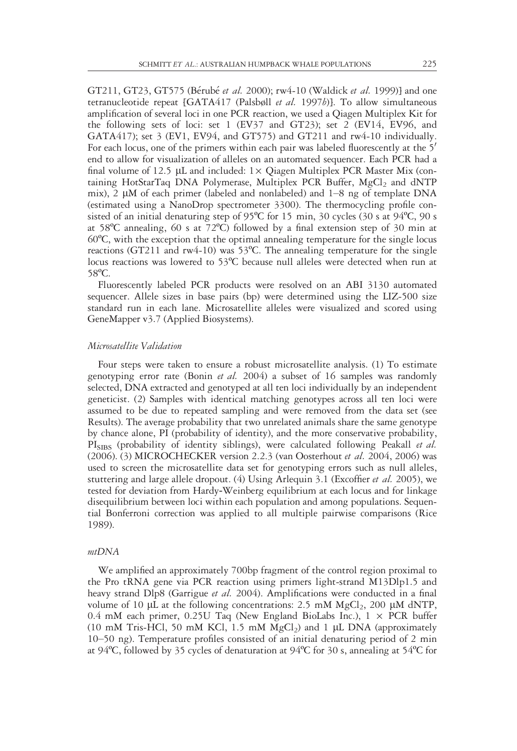GT211, GT23, GT575 (Bérubé et al. 2000); rw4-10 (Waldick et al. 1999)] and one tetranucleotide repeat  $[GATA417 (Palsbøll et al. 1997b)].$  To allow simultaneous amplification of several loci in one PCR reaction, we used a Qiagen Multiplex Kit for the following sets of loci: set 1 (EV37 and GT23); set 2 (EV14, EV96, and GATA417); set 3 (EV1, EV94, and GT575) and GT211 and rw4-10 individually. For each locus, one of the primers within each pair was labeled fluorescently at the  $5<sup>7</sup>$ end to allow for visualization of alleles on an automated sequencer. Each PCR had a final volume of 12.5  $\mu$ L and included: 1× Qiagen Multiplex PCR Master Mix (containing HotStarTaq DNA Polymerase, Multiplex PCR Buffer,  $MgCl<sub>2</sub>$  and dNTP mix), 2  $\mu$ M of each primer (labeled and nonlabeled) and 1–8 ng of template DNA (estimated using a NanoDrop spectrometer 3300). The thermocycling profile consisted of an initial denaturing step of 95ºC for 15 min, 30 cycles (30 s at 94ºC, 90 s at 58 $^{\circ}$ C annealing, 60 s at 72 $^{\circ}$ C) followed by a final extension step of 30 min at 60ºC, with the exception that the optimal annealing temperature for the single locus reactions (GT211 and rw4-10) was 53ºC. The annealing temperature for the single locus reactions was lowered to 53ºC because null alleles were detected when run at 58ºC.

Fluorescently labeled PCR products were resolved on an ABI 3130 automated sequencer. Allele sizes in base pairs (bp) were determined using the LIZ-500 size standard run in each lane. Microsatellite alleles were visualized and scored using GeneMapper v3.7 (Applied Biosystems).

## Microsatellite Validation

Four steps were taken to ensure a robust microsatellite analysis. (1) To estimate genotyping error rate (Bonin *et al.* 2004) a subset of 16 samples was randomly selected, DNA extracted and genotyped at all ten loci individually by an independent geneticist. (2) Samples with identical matching genotypes across all ten loci were assumed to be due to repeated sampling and were removed from the data set (see Results). The average probability that two unrelated animals share the same genotype by chance alone, PI (probability of identity), and the more conservative probability, PI<sub>SIBS</sub> (probability of identity siblings), were calculated following Peakall *et al.* (2006). (3) MICROCHECKER version 2.2.3 (van Oosterhout et al. 2004, 2006) was used to screen the microsatellite data set for genotyping errors such as null alleles, stuttering and large allele dropout. (4) Using Arlequin 3.1 (Excoffier *et al.* 2005), we tested for deviation from Hardy-Weinberg equilibrium at each locus and for linkage disequilibrium between loci within each population and among populations. Sequential Bonferroni correction was applied to all multiple pairwise comparisons (Rice 1989).

#### mtDNA

We amplified an approximately 700bp fragment of the control region proximal to the Pro tRNA gene via PCR reaction using primers light-strand M13Dlp1.5 and heavy strand Dlp8 (Garrigue et al. 2004). Amplifications were conducted in a final volume of 10  $\mu$ L at the following concentrations: 2.5 mM MgCl<sub>2</sub>, 200  $\mu$ M dNTP, 0.4 mM each primer, 0.25U Taq (New England BioLabs Inc.),  $1 \times PCR$  buffer (10 mM Tris-HCl, 50 mM KCl, 1.5 mM  $MgCl<sub>2</sub>$ ) and 1 µL DNA (approximately 10–50 ng). Temperature profiles consisted of an initial denaturing period of 2 min at 94 $\degree$ C, followed by 35 cycles of denaturation at 94 $\degree$ C for 30 s, annealing at 54 $\degree$ C for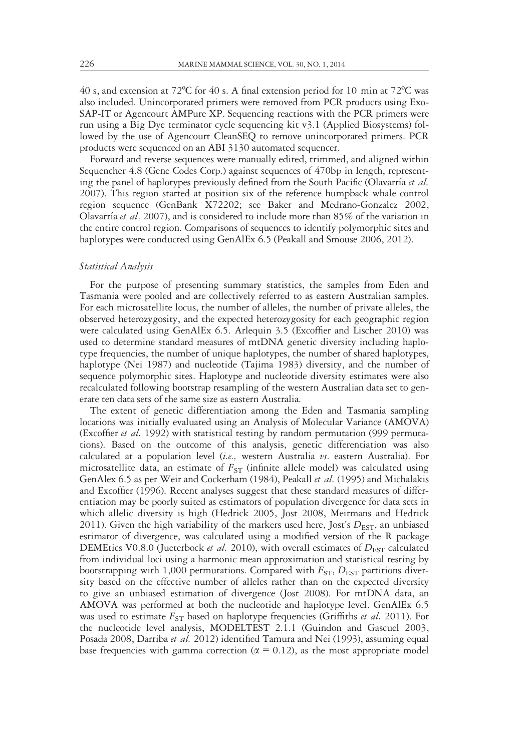40 s, and extension at  $72^{\circ}$ C for 40 s. A final extension period for 10 min at  $72^{\circ}$ C was also included. Unincorporated primers were removed from PCR products using Exo-SAP-IT or Agencourt AMPure XP. Sequencing reactions with the PCR primers were run using a Big Dye terminator cycle sequencing kit v3.1 (Applied Biosystems) followed by the use of Agencourt CleanSEQ to remove unincorporated primers. PCR products were sequenced on an ABI 3130 automated sequencer.

Forward and reverse sequences were manually edited, trimmed, and aligned within Sequencher 4.8 (Gene Codes Corp.) against sequences of 470bp in length, representing the panel of haplotypes previously defined from the South Pacific (Olavarría et al. 2007). This region started at position six of the reference humpback whale control region sequence (GenBank X72202; see Baker and Medrano-Gonzalez 2002, Olavarría et al. 2007), and is considered to include more than  $85\%$  of the variation in the entire control region. Comparisons of sequences to identify polymorphic sites and haplotypes were conducted using GenAlEx 6.5 (Peakall and Smouse 2006, 2012).

#### Statistical Analysis

For the purpose of presenting summary statistics, the samples from Eden and Tasmania were pooled and are collectively referred to as eastern Australian samples. For each microsatellite locus, the number of alleles, the number of private alleles, the observed heterozygosity, and the expected heterozygosity for each geographic region were calculated using GenAlEx 6.5. Arlequin 3.5 (Excoffier and Lischer 2010) was used to determine standard measures of mtDNA genetic diversity including haplotype frequencies, the number of unique haplotypes, the number of shared haplotypes, haplotype (Nei 1987) and nucleotide (Tajima 1983) diversity, and the number of sequence polymorphic sites. Haplotype and nucleotide diversity estimates were also recalculated following bootstrap resampling of the western Australian data set to generate ten data sets of the same size as eastern Australia.

The extent of genetic differentiation among the Eden and Tasmania sampling locations was initially evaluated using an Analysis of Molecular Variance (AMOVA) (Excoffier et al. 1992) with statistical testing by random permutation (999 permutations). Based on the outcome of this analysis, genetic differentiation was also calculated at a population level (i.e., western Australia  $\nu s$ . eastern Australia). For microsatellite data, an estimate of  $F_{ST}$  (infinite allele model) was calculated using GenAlex 6.5 as per Weir and Cockerham (1984), Peakall et al. (1995) and Michalakis and Excoffier (1996). Recent analyses suggest that these standard measures of differentiation may be poorly suited as estimators of population divergence for data sets in which allelic diversity is high (Hedrick 2005, Jost 2008, Meirmans and Hedrick 2011). Given the high variability of the markers used here, Jost's  $D_{\text{EST}}$ , an unbiased estimator of divergence, was calculated using a modified version of the R package DEMEtics V0.8.0 (Jueterbock *et al.* 2010), with overall estimates of  $D_{\text{EST}}$  calculated from individual loci using a harmonic mean approximation and statistical testing by bootstrapping with 1,000 permutations. Compared with  $F_{ST}$ ,  $D_{EST}$  partitions diversity based on the effective number of alleles rather than on the expected diversity to give an unbiased estimation of divergence (Jost 2008). For mtDNA data, an AMOVA was performed at both the nucleotide and haplotype level. GenAlEx 6.5 was used to estimate  $F_{ST}$  based on haplotype frequencies (Griffiths et al. 2011). For the nucleotide level analysis, MODELTEST 2.1.1 (Guindon and Gascuel 2003, Posada 2008, Darriba et al. 2012) identified Tamura and Nei (1993), assuming equal base frequencies with gamma correction ( $\alpha = 0.12$ ), as the most appropriate model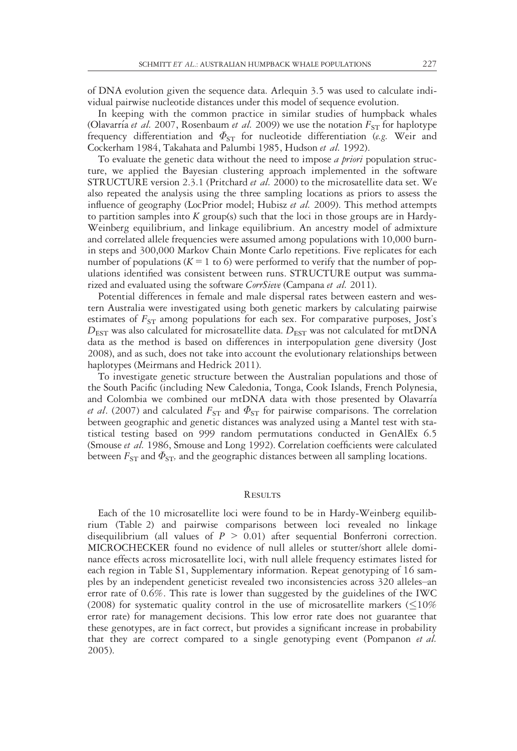of DNA evolution given the sequence data. Arlequin 3.5 was used to calculate individual pairwise nucleotide distances under this model of sequence evolution.

In keeping with the common practice in similar studies of humpback whales (Olavarría et al. 2007, Rosenbaum et al. 2009) we use the notation  $F_{ST}$  for haplotype frequency differentiation and  $\Phi_{ST}$  for nucleotide differentiation (e.g. Weir and Cockerham 1984, Takahata and Palumbi 1985, Hudson et al. 1992).

To evaluate the genetic data without the need to impose *a priori* population structure, we applied the Bayesian clustering approach implemented in the software STRUCTURE version 2.3.1 (Pritchard *et al.* 2000) to the microsatellite data set. We also repeated the analysis using the three sampling locations as priors to assess the influence of geography (LocPrior model; Hubisz *et al.* 2009). This method attempts to partition samples into  $K$  group(s) such that the loci in those groups are in Hardy-Weinberg equilibrium, and linkage equilibrium. An ancestry model of admixture and correlated allele frequencies were assumed among populations with 10,000 burnin steps and 300,000 Markov Chain Monte Carlo repetitions. Five replicates for each number of populations ( $K = 1$  to 6) were performed to verify that the number of populations identified was consistent between runs. STRUCTURE output was summarized and evaluated using the software CorrSieve (Campana et al. 2011).

Potential differences in female and male dispersal rates between eastern and western Australia were investigated using both genetic markers by calculating pairwise estimates of  $F_{ST}$  among populations for each sex. For comparative purposes, Jost's  $D_{\text{EST}}$  was also calculated for microsatellite data.  $D_{\text{EST}}$  was not calculated for mtDNA data as the method is based on differences in interpopulation gene diversity (Jost 2008), and as such, does not take into account the evolutionary relationships between haplotypes (Meirmans and Hedrick 2011).

To investigate genetic structure between the Australian populations and those of the South Pacific (including New Caledonia, Tonga, Cook Islands, French Polynesia, and Colombia we combined our mtDNA data with those presented by Olavarría *et al.* (2007) and calculated  $F_{ST}$  and  $\Phi_{ST}$  for pairwise comparisons. The correlation between geographic and genetic distances was analyzed using a Mantel test with statistical testing based on 999 random permutations conducted in GenAlEx 6.5 (Smouse et al. 1986, Smouse and Long 1992). Correlation coefficients were calculated between  $F_{ST}$  and  $\Phi_{ST}$ , and the geographic distances between all sampling locations.

#### **RESULTS**

Each of the 10 microsatellite loci were found to be in Hardy-Weinberg equilibrium (Table 2) and pairwise comparisons between loci revealed no linkage disequilibrium (all values of  $P > 0.01$ ) after sequential Bonferroni correction. MICROCHECKER found no evidence of null alleles or stutter/short allele dominance effects across microsatellite loci, with null allele frequency estimates listed for each region in Table S1, Supplementary information. Repeat genotyping of 16 samples by an independent geneticist revealed two inconsistencies across 320 alleles–an error rate of 0.6%. This rate is lower than suggested by the guidelines of the IWC (2008) for systematic quality control in the use of microsatellite markers ( $\leq$ 10%) error rate) for management decisions. This low error rate does not guarantee that these genotypes, are in fact correct, but provides a significant increase in probability that they are correct compared to a single genotyping event (Pompanon et al. 2005).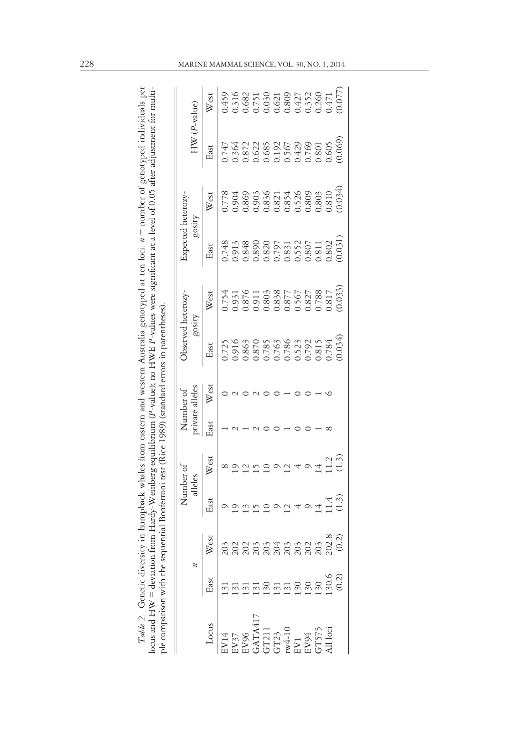|                                                                                                                                                                                                                                                 |      |      | Number of |               |             | Number of      | Observed heterozy-                        |                                                                                                                                               | Expected heterozy-                                                   |                                                                                                                                                                                                                                                                       |               |                                                                                                                                                                                                                                                                    |
|-------------------------------------------------------------------------------------------------------------------------------------------------------------------------------------------------------------------------------------------------|------|------|-----------|---------------|-------------|----------------|-------------------------------------------|-----------------------------------------------------------------------------------------------------------------------------------------------|----------------------------------------------------------------------|-----------------------------------------------------------------------------------------------------------------------------------------------------------------------------------------------------------------------------------------------------------------------|---------------|--------------------------------------------------------------------------------------------------------------------------------------------------------------------------------------------------------------------------------------------------------------------|
|                                                                                                                                                                                                                                                 |      |      | alleles   |               |             | rivate alleles | gosity                                    |                                                                                                                                               | gosity                                                               |                                                                                                                                                                                                                                                                       | $HW(P-value)$ |                                                                                                                                                                                                                                                                    |
| Locus                                                                                                                                                                                                                                           | East | West | East      | West          | <b>Hast</b> | West           | East                                      | West                                                                                                                                          | East                                                                 | West                                                                                                                                                                                                                                                                  | East          | West                                                                                                                                                                                                                                                               |
| <b>N14</b>                                                                                                                                                                                                                                      |      |      |           |               |             |                |                                           | 0.754                                                                                                                                         | 1.748                                                                | 0.778                                                                                                                                                                                                                                                                 | 1747          | 0.459                                                                                                                                                                                                                                                              |
| $\begin{array}{l} \text{B} Y37\\ \text{EV96}\\ \text{GAT11}\\ \text{GAT21}\\ \text{GTT21}\\ \text{GTT3}\\ \text{F94}\\ \text{EYY} \\ \text{EYY} \\ \text{GTT37} \\ \text{GTT375}\\ \text{GTT375}\\ \text{GTT375}\\ \text{All loci} \end{array}$ |      |      |           |               |             |                | 916                                       |                                                                                                                                               |                                                                      |                                                                                                                                                                                                                                                                       | 1.364         |                                                                                                                                                                                                                                                                    |
|                                                                                                                                                                                                                                                 |      |      |           |               |             |                |                                           |                                                                                                                                               |                                                                      |                                                                                                                                                                                                                                                                       |               |                                                                                                                                                                                                                                                                    |
|                                                                                                                                                                                                                                                 |      |      |           |               |             |                | 0.863                                     |                                                                                                                                               |                                                                      |                                                                                                                                                                                                                                                                       |               |                                                                                                                                                                                                                                                                    |
|                                                                                                                                                                                                                                                 |      |      |           |               |             |                |                                           |                                                                                                                                               |                                                                      |                                                                                                                                                                                                                                                                       |               |                                                                                                                                                                                                                                                                    |
|                                                                                                                                                                                                                                                 |      |      |           |               |             |                |                                           |                                                                                                                                               |                                                                      |                                                                                                                                                                                                                                                                       |               |                                                                                                                                                                                                                                                                    |
|                                                                                                                                                                                                                                                 |      |      |           |               |             |                |                                           |                                                                                                                                               |                                                                      |                                                                                                                                                                                                                                                                       |               |                                                                                                                                                                                                                                                                    |
|                                                                                                                                                                                                                                                 |      |      |           |               |             |                |                                           |                                                                                                                                               |                                                                      |                                                                                                                                                                                                                                                                       |               |                                                                                                                                                                                                                                                                    |
|                                                                                                                                                                                                                                                 |      |      |           |               |             |                | 0.785<br>0.763<br>0.786<br>0.792<br>0.815 |                                                                                                                                               | 0.913<br>0.848<br>0.820<br>0.820<br>0.807<br>0.807<br>0.807<br>0.802 |                                                                                                                                                                                                                                                                       |               |                                                                                                                                                                                                                                                                    |
|                                                                                                                                                                                                                                                 |      |      |           |               |             |                |                                           |                                                                                                                                               |                                                                      |                                                                                                                                                                                                                                                                       |               |                                                                                                                                                                                                                                                                    |
|                                                                                                                                                                                                                                                 |      |      |           | $\frac{1}{2}$ |             |                |                                           |                                                                                                                                               |                                                                      |                                                                                                                                                                                                                                                                       |               |                                                                                                                                                                                                                                                                    |
|                                                                                                                                                                                                                                                 |      |      | (1.3)     | (1.3)         |             |                | (0.034)                                   | $\begin{array}{l} 0.951\\ 0.876\\ 0.080\\ 0.083\\ 0.083\\ 0.083\\ 0.083\\ 0.000\\ 0.000\\ 0.000\\ 0.000\\ 0.000\\ 0.033\\ 0.033) \end{array}$ | (0.031)                                                              | $\begin{array}{l} 0.904\\ 0.869\\ 0.836\\ 0.938\\ 0.837\\ 0.936\\ 0.937\\ 0.937\\ 0.936\\ 0.937\\ 0.937\\ 0.937\\ 0.937\\ 0.937\\ 0.937\\ 0.934\\ 0.034\\ 0.034\\ 0.034\\ 0.034\\ 0.034\\ 0.034\\ 0.034\\ 0.034\\ 0.034\\ 0.034\\ 0.034\\ 0.034\\ 0.034\\ 0.034\\ 0.$ |               | $\begin{array}{l} 0.316\\ 0.682\\ 0.681\\ 0.751\\ 0.030\\ 0.621\\ 0.809\\ 0.427\\ 0.352\\ 0.471\\ 0.077)\\ 0.0471\\ 0.077)\\ 0.0471\\ 0.077)\\ 0.077)\\ 0.077)\\ 0.077)\\ 0.077)\\ 0.077)\\ 0.077)\\ 0.077)\\ 0.077)\\ 0.077)\\ 0.077)\\ 0.077)\\ 0.077)\\ 0.077)$ |

*Table 2.* Genetic diversity in humpback whales from eastern and western Australia genotyped at ten loci. n = number of genotyped individuals per<br>locus and HW = deviation from Hardy-Weinberg equilibrium (P-value); no HWE P Table 2. Genetic diversity in humpback whales from eastern and western Australia genotyped at ten loci. n = number of genotyped individuals per locus and HW = deviation from Hardy-Weinberg equilibrium (P-value); no HWE P-values were significant at a level of 0.05 after adjustment for multiple comparison with the sequential Bonferroni test (Rice 1989) (standard errors in parentheses).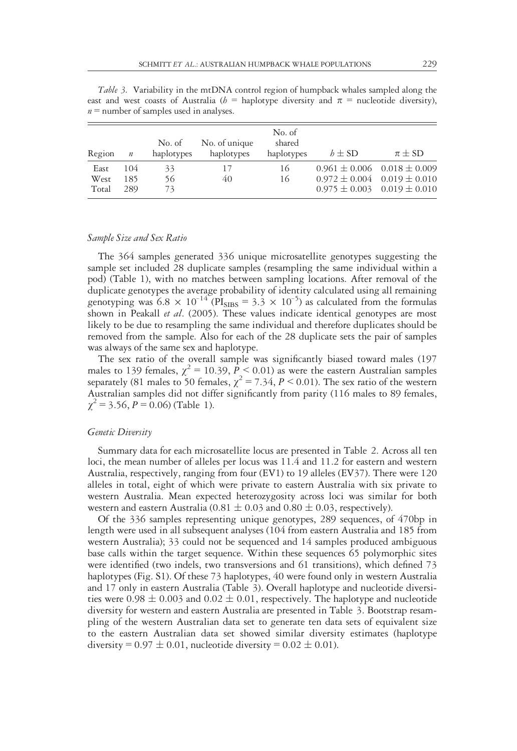Table 3. Variability in the mtDNA control region of humpback whales sampled along the east and west coasts of Australia ( $h =$  haplotype diversity and  $\pi =$  nucleotide diversity),  $n =$  number of samples used in analyses.

| Region                | $\boldsymbol{n}$  | No. of<br>haplotypes | No. of unique<br>haplotypes | No. of<br>shared<br>haplotypes | $b \pm SD$                                                                                                        | $\pi \pm SD$ |
|-----------------------|-------------------|----------------------|-----------------------------|--------------------------------|-------------------------------------------------------------------------------------------------------------------|--------------|
| East<br>West<br>Total | 104<br>185<br>289 | 33<br>56<br>73       | 17<br>40                    | 16<br>16                       | $0.961 \pm 0.006$ $0.018 \pm 0.009$<br>$0.972 \pm 0.004$ $0.019 \pm 0.010$<br>$0.975 \pm 0.003$ $0.019 \pm 0.010$ |              |

#### Sample Size and Sex Ratio

The 364 samples generated 336 unique microsatellite genotypes suggesting the sample set included 28 duplicate samples (resampling the same individual within a pod) (Table 1), with no matches between sampling locations. After removal of the duplicate genotypes the average probability of identity calculated using all remaining genotyping was  $6.8 \times 10^{-14}$  ( $PI_{SIBS} = 3.3 \times 10^{-5}$ ) as calculated from the formulas shown in Peakall et al. (2005). These values indicate identical genotypes are most likely to be due to resampling the same individual and therefore duplicates should be removed from the sample. Also for each of the 28 duplicate sets the pair of samples was always of the same sex and haplotype.

The sex ratio of the overall sample was significantly biased toward males (197 males to 139 females,  $\chi^2 = 10.39$ ,  $\bar{P} < 0.01$ ) as were the eastern Australian samples separately (81 males to 50 females,  $\chi^2 = 7.34$ ,  $P < 0.01$ ). The sex ratio of the western Australian samples did not differ significantly from parity (116 males to 89 females,  $\chi^2$  = 3.56, P = 0.06) (Table 1).

#### Genetic Diversity

Summary data for each microsatellite locus are presented in Table 2. Across all ten loci, the mean number of alleles per locus was 11.4 and 11.2 for eastern and western Australia, respectively, ranging from four (EV1) to 19 alleles (EV37). There were 120 alleles in total, eight of which were private to eastern Australia with six private to western Australia. Mean expected heterozygosity across loci was similar for both western and eastern Australia (0.81  $\pm$  0.03 and 0.80  $\pm$  0.03, respectively).

Of the 336 samples representing unique genotypes, 289 sequences, of 470bp in length were used in all subsequent analyses (104 from eastern Australia and 185 from western Australia); 33 could not be sequenced and 14 samples produced ambiguous base calls within the target sequence. Within these sequences 65 polymorphic sites were identified (two indels, two transversions and 61 transitions), which defined 73 haplotypes (Fig. S1). Of these 73 haplotypes, 40 were found only in western Australia and 17 only in eastern Australia (Table 3). Overall haplotype and nucleotide diversities were  $0.98 \pm 0.003$  and  $0.02 \pm 0.01$ , respectively. The haplotype and nucleotide diversity for western and eastern Australia are presented in Table 3. Bootstrap resampling of the western Australian data set to generate ten data sets of equivalent size to the eastern Australian data set showed similar diversity estimates (haplotype diversity =  $0.97 \pm 0.01$ , nucleotide diversity =  $0.02 \pm 0.01$ ).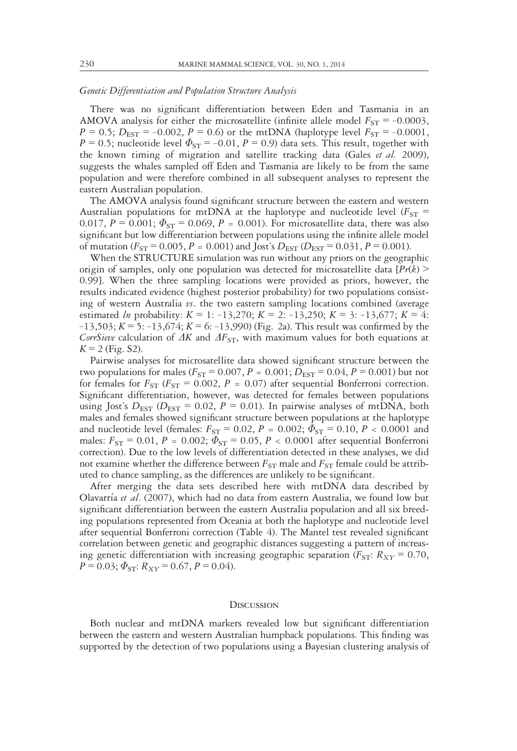#### Genetic Differentiation and Population Structure Analysis

There was no significant differentiation between Eden and Tasmania in an AMOVA analysis for either the microsatellite (infinite allele model  $F_{ST} = -0.0003$ ,  $P = 0.5$ ;  $D_{\text{EST}} = -0.002$ ,  $P = 0.6$ ) or the mtDNA (haplotype level  $F_{ST} = -0.0001$ ,  $P = 0.5$ ; nucleotide level  $\Phi_{ST} = -0.01$ ,  $P = 0.9$ ) data sets. This result, together with the known timing of migration and satellite tracking data (Gales et al. 2009), suggests the whales sampled off Eden and Tasmania are likely to be from the same population and were therefore combined in all subsequent analyses to represent the eastern Australian population.

The AMOVA analysis found significant structure between the eastern and western Australian populations for mtDNA at the haplotype and nucleotide level ( $F_{ST}$  = 0.017,  $P = 0.001$ ;  $\Phi_{ST} = 0.069$ ,  $P = 0.001$ ). For microsatellite data, there was also significant but low differentiation between populations using the infinite allele model of mutation ( $F_{ST} = 0.005$ ,  $P = 0.001$ ) and Jost's  $D_{EST}$  ( $D_{EST} = 0.031$ ,  $P = 0.001$ ).

When the STRUCTURE simulation was run without any priors on the geographic origin of samples, only one population was detected for microsatellite data  $\{Pr(k)$ 0.99]. When the three sampling locations were provided as priors, however, the results indicated evidence (highest posterior probability) for two populations consisting of western Australia  $\nu$ s. the two eastern sampling locations combined (average estimated *ln* probability:  $K = 1$ : -13,270;  $K = 2$ : -13,250;  $K = 3$ : -13,677;  $K = 4$ :  $-13,503$ ;  $K = 5: -13,674$ ;  $K = 6: -13,990$ ) (Fig. 2a). This result was confirmed by the CorrSieve calculation of  $\Delta K$  and  $\Delta F_{ST}$ , with maximum values for both equations at  $K = 2$  (Fig. S2).

Pairwise analyses for microsatellite data showed significant structure between the two populations for males ( $F_{ST}$  = 0.007, P = 0.001;  $D_{EST}$  = 0.04, P = 0.001) but not for females for  $F_{ST}$  ( $F_{ST}$  = 0.002, P = 0.07) after sequential Bonferroni correction. Significant differentiation, however, was detected for females between populations using Jost's  $D_{\text{EST}}$  ( $D_{\text{EST}}$  = 0.02, P = 0.01). In pairwise analyses of mtDNA, both males and females showed significant structure between populations at the haplotype and nucleotide level (females:  $F_{ST} = 0.02$ ,  $P = 0.002$ ;  $\Phi_{ST} = 0.10$ ,  $P < 0.0001$  and males:  $F_{ST} = 0.01, P = 0.002; \Phi_{ST} = 0.05, P < 0.0001$  after sequential Bonferroni correction). Due to the low levels of differentiation detected in these analyses, we did not examine whether the difference between  $F_{ST}$  male and  $F_{ST}$  female could be attributed to chance sampling, as the differences are unlikely to be significant.

After merging the data sets described here with mtDNA data described by Olavarría et al. (2007), which had no data from eastern Australia, we found low but significant differentiation between the eastern Australia population and all six breeding populations represented from Oceania at both the haplotype and nucleotide level after sequential Bonferroni correction (Table 4). The Mantel test revealed significant correlation between genetic and geographic distances suggesting a pattern of increasing genetic differentiation with increasing geographic separation ( $F_{ST}$ :  $R_{XY}$  = 0.70,  $P = 0.03$ ;  $\Phi_{ST}$ :  $R_{XY} = 0.67$ ,  $P = 0.04$ ).

#### **DISCUSSION**

Both nuclear and mtDNA markers revealed low but significant differentiation between the eastern and western Australian humpback populations. This finding was supported by the detection of two populations using a Bayesian clustering analysis of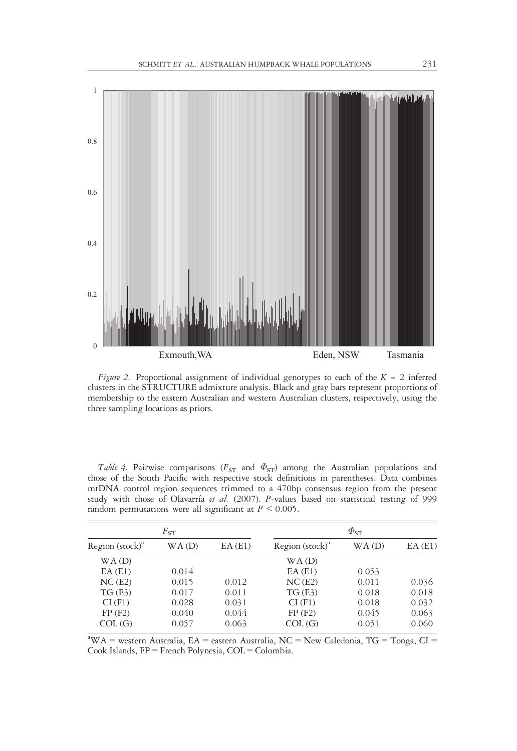

*Figure 2.* Proportional assignment of individual genotypes to each of the  $K = 2$  inferred clusters in the STRUCTURE admixture analysis. Black and gray bars represent proportions of membership to the eastern Australian and western Australian clusters, respectively, using the three sampling locations as priors.

Table 4. Pairwise comparisons ( $F_{ST}$  and  $\Phi_{ST}$ ) among the Australian populations and those of the South Pacific with respective stock definitions in parentheses. Data combines mtDNA control region sequences trimmed to a 470bp consensus region from the present study with those of Olavarría et al. (2007). P-values based on statistical testing of 999 random permutations were all significant at  $P \leq 0.005$ .

| $F_{ST}$                    |       |        | $\varPhi_{\text{ST}}$       |       |        |  |
|-----------------------------|-------|--------|-----------------------------|-------|--------|--|
| Region (stock) <sup>a</sup> | WA(D) | EA(E1) | Region (stock) <sup>a</sup> | WA(D) | EA(E1) |  |
| WA(D)                       |       |        | WA(D)                       |       |        |  |
| EA(E1)                      | 0.014 |        | EA(E1)                      | 0.053 |        |  |
| NC(E2)                      | 0.015 | 0.012  | NC(E2)                      | 0.011 | 0.036  |  |
| TG(E3)                      | 0.017 | 0.011  | TG(E3)                      | 0.018 | 0.018  |  |
| CI(F1)                      | 0.028 | 0.031  | CI(F1)                      | 0.018 | 0.032  |  |
| FP(F2)                      | 0.040 | 0.044  | FP(F2)                      | 0.045 | 0.063  |  |
| COL(G)                      | 0.057 | 0.063  | COL(G)                      | 0.051 | 0.060  |  |

<sup>a</sup>WA = western Australia, EA = eastern Australia, NC = New Caledonia, TG = Tonga, CI = Cook Islands, FP = French Polynesia, COL = Colombia.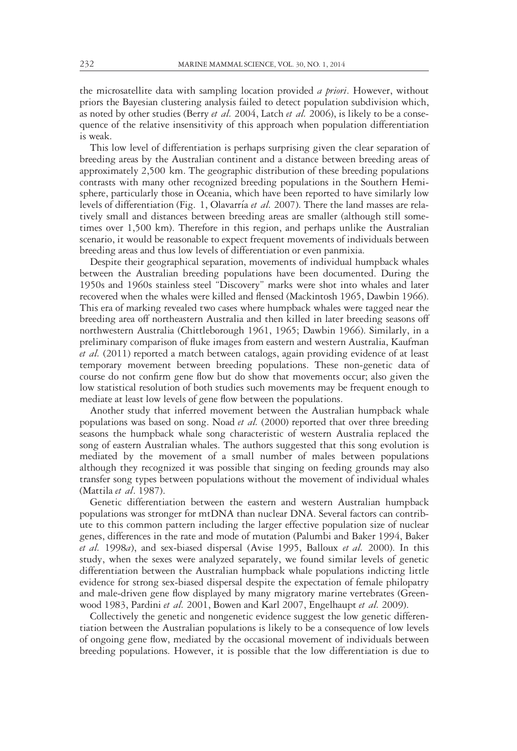the microsatellite data with sampling location provided a priori. However, without priors the Bayesian clustering analysis failed to detect population subdivision which, as noted by other studies (Berry et al. 2004, Latch et al. 2006), is likely to be a consequence of the relative insensitivity of this approach when population differentiation is weak.

This low level of differentiation is perhaps surprising given the clear separation of breeding areas by the Australian continent and a distance between breeding areas of approximately 2,500 km. The geographic distribution of these breeding populations contrasts with many other recognized breeding populations in the Southern Hemisphere, particularly those in Oceania, which have been reported to have similarly low levels of differentiation (Fig. 1, Olavarría et al. 2007). There the land masses are relatively small and distances between breeding areas are smaller (although still sometimes over 1,500 km). Therefore in this region, and perhaps unlike the Australian scenario, it would be reasonable to expect frequent movements of individuals between breeding areas and thus low levels of differentiation or even panmixia.

Despite their geographical separation, movements of individual humpback whales between the Australian breeding populations have been documented. During the 1950s and 1960s stainless steel "Discovery" marks were shot into whales and later recovered when the whales were killed and flensed (Mackintosh 1965, Dawbin 1966). This era of marking revealed two cases where humpback whales were tagged near the breeding area off northeastern Australia and then killed in later breeding seasons off northwestern Australia (Chittleborough 1961, 1965; Dawbin 1966). Similarly, in a preliminary comparison of fluke images from eastern and western Australia, Kaufman et al. (2011) reported a match between catalogs, again providing evidence of at least temporary movement between breeding populations. These non-genetic data of course do not confirm gene flow but do show that movements occur; also given the low statistical resolution of both studies such movements may be frequent enough to mediate at least low levels of gene flow between the populations.

Another study that inferred movement between the Australian humpback whale populations was based on song. Noad et al. (2000) reported that over three breeding seasons the humpback whale song characteristic of western Australia replaced the song of eastern Australian whales. The authors suggested that this song evolution is mediated by the movement of a small number of males between populations although they recognized it was possible that singing on feeding grounds may also transfer song types between populations without the movement of individual whales (Mattila et al. 1987).

Genetic differentiation between the eastern and western Australian humpback populations was stronger for mtDNA than nuclear DNA. Several factors can contribute to this common pattern including the larger effective population size of nuclear genes, differences in the rate and mode of mutation (Palumbi and Baker 1994, Baker et al. 1998a), and sex-biased dispersal (Avise 1995, Balloux et al. 2000). In this study, when the sexes were analyzed separately, we found similar levels of genetic differentiation between the Australian humpback whale populations indicting little evidence for strong sex-biased dispersal despite the expectation of female philopatry and male-driven gene flow displayed by many migratory marine vertebrates (Greenwood 1983, Pardini et al. 2001, Bowen and Karl 2007, Engelhaupt et al. 2009).

Collectively the genetic and nongenetic evidence suggest the low genetic differentiation between the Australian populations is likely to be a consequence of low levels of ongoing gene flow, mediated by the occasional movement of individuals between breeding populations. However, it is possible that the low differentiation is due to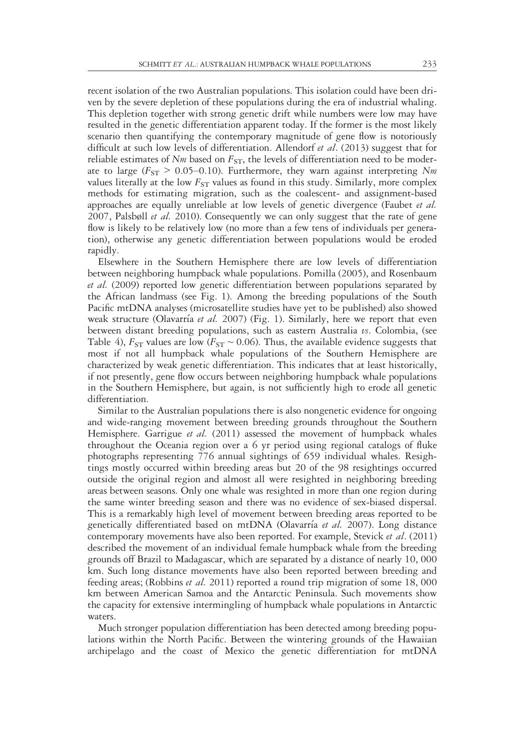recent isolation of the two Australian populations. This isolation could have been driven by the severe depletion of these populations during the era of industrial whaling. This depletion together with strong genetic drift while numbers were low may have resulted in the genetic differentiation apparent today. If the former is the most likely scenario then quantifying the contemporary magnitude of gene flow is notoriously difficult at such low levels of differentiation. Allendorf et al. (2013) suggest that for reliable estimates of  $Nm$  based on  $F_{ST}$ , the levels of differentiation need to be moderate to large ( $F_{ST} > 0.05{\text -}0.10$ ). Furthermore, they warn against interpreting Nm values literally at the low  $F_{ST}$  values as found in this study. Similarly, more complex methods for estimating migration, such as the coalescent- and assignment-based approaches are equally unreliable at low levels of genetic divergence (Faubet et al. 2007, Palsbøll et al. 2010). Consequently we can only suggest that the rate of gene flow is likely to be relatively low (no more than a few tens of individuals per generation), otherwise any genetic differentiation between populations would be eroded rapidly.

Elsewhere in the Southern Hemisphere there are low levels of differentiation between neighboring humpback whale populations. Pomilla (2005), and Rosenbaum et al. (2009) reported low genetic differentiation between populations separated by the African landmass (see Fig. 1). Among the breeding populations of the South Pacific mtDNA analyses (microsatellite studies have yet to be published) also showed weak structure (Olavarría et al. 2007) (Fig. 1). Similarly, here we report that even between distant breeding populations, such as eastern Australia vs. Colombia, (see Table 4),  $F_{ST}$  values are low ( $F_{ST} \sim 0.06$ ). Thus, the available evidence suggests that most if not all humpback whale populations of the Southern Hemisphere are characterized by weak genetic differentiation. This indicates that at least historically, if not presently, gene flow occurs between neighboring humpback whale populations in the Southern Hemisphere, but again, is not sufficiently high to erode all genetic differentiation.

Similar to the Australian populations there is also nongenetic evidence for ongoing and wide-ranging movement between breeding grounds throughout the Southern Hemisphere. Garrigue et al.  $(2011)$  assessed the movement of humpback whales throughout the Oceania region over a 6 yr period using regional catalogs of fluke photographs representing 776 annual sightings of 659 individual whales. Resightings mostly occurred within breeding areas but 20 of the 98 resightings occurred outside the original region and almost all were resighted in neighboring breeding areas between seasons. Only one whale was resighted in more than one region during the same winter breeding season and there was no evidence of sex-biased dispersal. This is a remarkably high level of movement between breeding areas reported to be genetically differentiated based on mtDNA (Olavarría et al. 2007). Long distance contemporary movements have also been reported. For example, Stevick et al. (2011) described the movement of an individual female humpback whale from the breeding grounds off Brazil to Madagascar, which are separated by a distance of nearly 10, 000 km. Such long distance movements have also been reported between breeding and feeding areas; (Robbins et al. 2011) reported a round trip migration of some 18, 000 km between American Samoa and the Antarctic Peninsula. Such movements show the capacity for extensive intermingling of humpback whale populations in Antarctic waters.

Much stronger population differentiation has been detected among breeding populations within the North Pacific. Between the wintering grounds of the Hawaiian archipelago and the coast of Mexico the genetic differentiation for mtDNA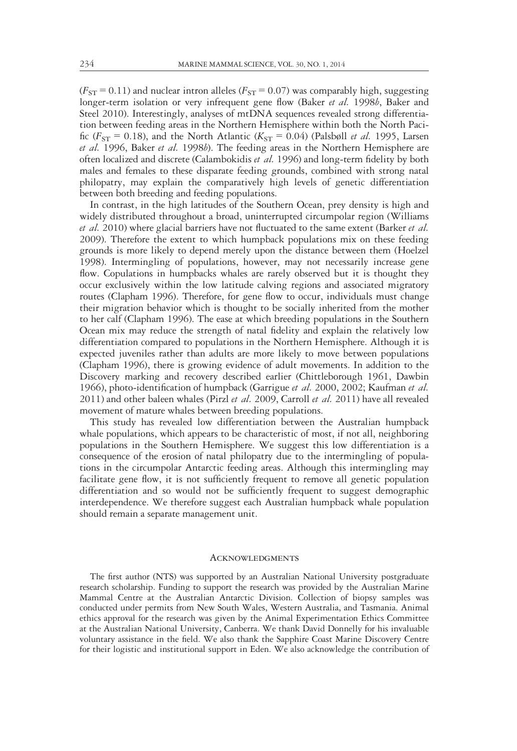$(F_{ST} = 0.11)$  and nuclear intron alleles  $(F_{ST} = 0.07)$  was comparably high, suggesting longer-term isolation or very infrequent gene flow (Baker et al. 1998b, Baker and Steel 2010). Interestingly, analyses of mtDNA sequences revealed strong differentiation between feeding areas in the Northern Hemisphere within both the North Pacific ( $F_{ST}$  = 0.18), and the North Atlantic ( $K_{ST}$  = 0.04) (Palsbøll *et al.* 1995, Larsen et al. 1996, Baker et al. 1998b). The feeding areas in the Northern Hemisphere are often localized and discrete (Calambokidis et al. 1996) and long-term fidelity by both males and females to these disparate feeding grounds, combined with strong natal philopatry, may explain the comparatively high levels of genetic differentiation between both breeding and feeding populations.

In contrast, in the high latitudes of the Southern Ocean, prey density is high and widely distributed throughout a broad, uninterrupted circumpolar region (Williams et al. 2010) where glacial barriers have not fluctuated to the same extent (Barker et al. 2009). Therefore the extent to which humpback populations mix on these feeding grounds is more likely to depend merely upon the distance between them (Hoelzel 1998). Intermingling of populations, however, may not necessarily increase gene flow. Copulations in humpbacks whales are rarely observed but it is thought they occur exclusively within the low latitude calving regions and associated migratory routes (Clapham 1996). Therefore, for gene flow to occur, individuals must change their migration behavior which is thought to be socially inherited from the mother to her calf (Clapham 1996). The ease at which breeding populations in the Southern Ocean mix may reduce the strength of natal fidelity and explain the relatively low differentiation compared to populations in the Northern Hemisphere. Although it is expected juveniles rather than adults are more likely to move between populations (Clapham 1996), there is growing evidence of adult movements. In addition to the Discovery marking and recovery described earlier (Chittleborough 1961, Dawbin 1966), photo-identification of humpback (Garrigue *et al.* 2000, 2002; Kaufman *et al.* 2011) and other baleen whales (Pirzl et al. 2009, Carroll et al. 2011) have all revealed movement of mature whales between breeding populations.

This study has revealed low differentiation between the Australian humpback whale populations, which appears to be characteristic of most, if not all, neighboring populations in the Southern Hemisphere. We suggest this low differentiation is a consequence of the erosion of natal philopatry due to the intermingling of populations in the circumpolar Antarctic feeding areas. Although this intermingling may facilitate gene flow, it is not sufficiently frequent to remove all genetic population differentiation and so would not be sufficiently frequent to suggest demographic interdependence. We therefore suggest each Australian humpback whale population should remain a separate management unit.

#### **ACKNOWLEDGMENTS**

The first author (NTS) was supported by an Australian National University postgraduate research scholarship. Funding to support the research was provided by the Australian Marine Mammal Centre at the Australian Antarctic Division. Collection of biopsy samples was conducted under permits from New South Wales, Western Australia, and Tasmania. Animal ethics approval for the research was given by the Animal Experimentation Ethics Committee at the Australian National University, Canberra. We thank David Donnelly for his invaluable voluntary assistance in the field. We also thank the Sapphire Coast Marine Discovery Centre for their logistic and institutional support in Eden. We also acknowledge the contribution of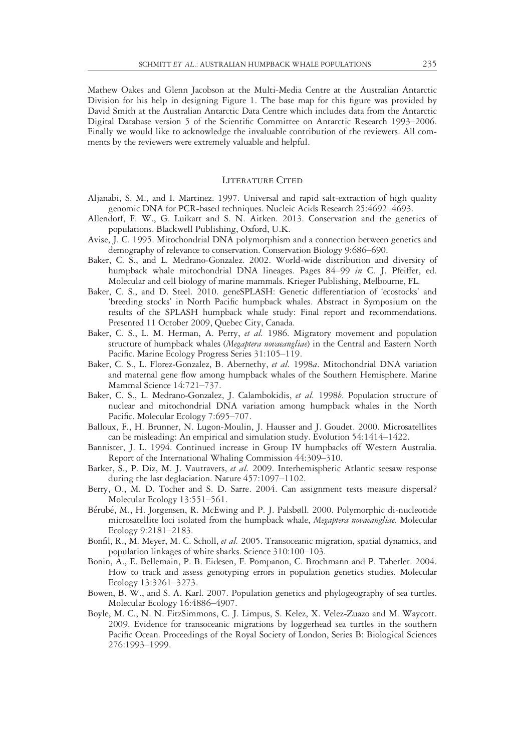Mathew Oakes and Glenn Jacobson at the Multi-Media Centre at the Australian Antarctic Division for his help in designing Figure 1. The base map for this figure was provided by David Smith at the Australian Antarctic Data Centre which includes data from the Antarctic Digital Database version 5 of the Scientific Committee on Antarctic Research 1993–2006. Finally we would like to acknowledge the invaluable contribution of the reviewers. All comments by the reviewers were extremely valuable and helpful.

#### LITERATURE CITED

- Aljanabi, S. M., and I. Martinez. 1997. Universal and rapid salt-extraction of high quality genomic DNA for PCR-based techniques. Nucleic Acids Research 25:4692–4693.
- Allendorf, F. W., G. Luikart and S. N. Aitken. 2013. Conservation and the genetics of populations. Blackwell Publishing, Oxford, U.K.
- Avise, J. C. 1995. Mitochondrial DNA polymorphism and a connection between genetics and demography of relevance to conservation. Conservation Biology 9:686–690.
- Baker, C. S., and L. Medrano-Gonzalez. 2002. World-wide distribution and diversity of humpback whale mitochondrial DNA lineages. Pages 84-99 in C. J. Pfeiffer, ed. Molecular and cell biology of marine mammals. Krieger Publishing, Melbourne, FL.
- Baker, C. S., and D. Steel. 2010. geneSPLASH: Genetic differentiation of 'ecostocks' and 'breeding stocks' in North Pacific humpback whales. Abstract in Symposium on the results of the SPLASH humpback whale study: Final report and recommendations. Presented 11 October 2009, Quebec City, Canada.
- Baker, C. S., L. M. Herman, A. Perry, et al. 1986. Migratory movement and population structure of humpback whales (Megaptera novaeangliae) in the Central and Eastern North Pacific. Marine Ecology Progress Series 31:105–119.
- Baker, C. S., L. Florez-Gonzalez, B. Abernethy, et al. 1998a. Mitochondrial DNA variation and maternal gene flow among humpback whales of the Southern Hemisphere. Marine Mammal Science 14:721–737.
- Baker, C. S., L. Medrano-Gonzalez, J. Calambokidis, et al. 1998b. Population structure of nuclear and mitochondrial DNA variation among humpback whales in the North Pacific. Molecular Ecology 7:695–707.
- Balloux, F., H. Brunner, N. Lugon-Moulin, J. Hausser and J. Goudet. 2000. Microsatellites can be misleading: An empirical and simulation study. Evolution 54:1414–1422.
- Bannister, J. L. 1994. Continued increase in Group IV humpbacks off Western Australia. Report of the International Whaling Commission 44:309–310.
- Barker, S., P. Diz, M. J. Vautravers, et al. 2009. Interhemispheric Atlantic seesaw response during the last deglaciation. Nature 457:1097–1102.
- Berry, O., M. D. Tocher and S. D. Sarre. 2004. Can assignment tests measure dispersal? Molecular Ecology 13:551–561.
- Berube, M., H. Jorgensen, R. McEwing and P. J. Palsbøll. 2000. Polymorphic di-nucleotide microsatellite loci isolated from the humpback whale, Megaptera novaeangliae. Molecular Ecology 9:2181–2183.
- Bonfil, R., M. Meyer, M. C. Scholl, et al. 2005. Transoceanic migration, spatial dynamics, and population linkages of white sharks. Science 310:100–103.
- Bonin, A., E. Bellemain, P. B. Eidesen, F. Pompanon, C. Brochmann and P. Taberlet. 2004. How to track and assess genotyping errors in population genetics studies. Molecular Ecology 13:3261–3273.
- Bowen, B. W., and S. A. Karl. 2007. Population genetics and phylogeography of sea turtles. Molecular Ecology 16:4886–4907.
- Boyle, M. C., N. N. FitzSimmons, C. J. Limpus, S. Kelez, X. Velez-Zuazo and M. Waycott. 2009. Evidence for transoceanic migrations by loggerhead sea turtles in the southern Pacific Ocean. Proceedings of the Royal Society of London, Series B: Biological Sciences 276:1993–1999.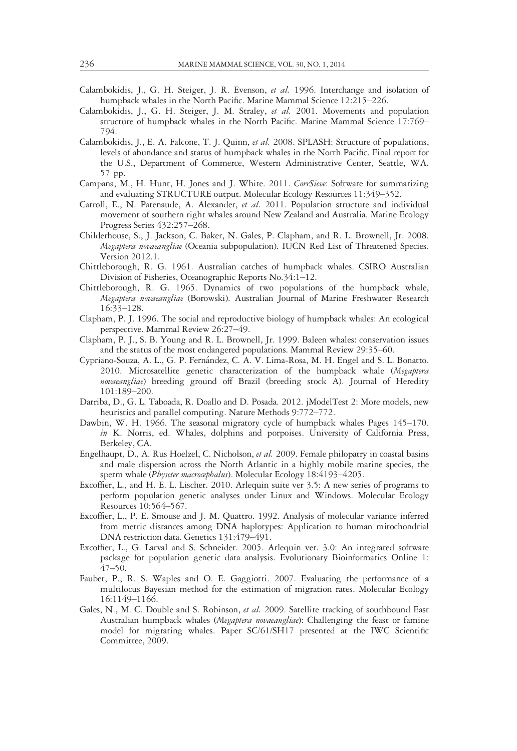- Calambokidis, J., G. H. Steiger, J. R. Evenson, et al. 1996. Interchange and isolation of humpback whales in the North Pacific. Marine Mammal Science 12:215–226.
- Calambokidis, J., G. H. Steiger, J. M. Straley, et al. 2001. Movements and population structure of humpback whales in the North Pacific. Marine Mammal Science 17:769– 794.
- Calambokidis, J., E. A. Falcone, T. J. Quinn, et al. 2008. SPLASH: Structure of populations, levels of abundance and status of humpback whales in the North Pacific. Final report for the U.S., Department of Commerce, Western Administrative Center, Seattle, WA. 57 pp.
- Campana, M., H. Hunt, H. Jones and J. White. 2011. CorrSieve: Software for summarizing and evaluating STRUCTURE output. Molecular Ecology Resources 11:349–352.
- Carroll, E., N. Patenaude, A. Alexander, et al. 2011. Population structure and individual movement of southern right whales around New Zealand and Australia. Marine Ecology Progress Series 432:257–268.
- Childerhouse, S., J. Jackson, C. Baker, N. Gales, P. Clapham, and R. L. Brownell, Jr. 2008. Megaptera novaeangliae (Oceania subpopulation). IUCN Red List of Threatened Species. Version 2012.1.
- Chittleborough, R. G. 1961. Australian catches of humpback whales. CSIRO Australian Division of Fisheries, Oceanographic Reports No.34:1–12.
- Chittleborough, R. G. 1965. Dynamics of two populations of the humpback whale, Megaptera novaeangliae (Borowski). Australian Journal of Marine Freshwater Research 16:33–128.
- Clapham, P. J. 1996. The social and reproductive biology of humpback whales: An ecological perspective. Mammal Review 26:27–49.
- Clapham, P. J., S. B. Young and R. L. Brownell, Jr. 1999. Baleen whales: conservation issues and the status of the most endangered populations. Mammal Review 29:35–60.
- Cypriano-Souza, A. L., G. P. Fernandez, C. A. V. Lima-Rosa, M. H. Engel and S. L. Bonatto. 2010. Microsatellite genetic characterization of the humpback whale (Megaptera novaeangliae) breeding ground off Brazil (breeding stock A). Journal of Heredity 101:189–200.
- Darriba, D., G. L. Taboada, R. Doallo and D. Posada. 2012. jModelTest 2: More models, new heuristics and parallel computing. Nature Methods 9:772–772.
- Dawbin, W. H. 1966. The seasonal migratory cycle of humpback whales Pages 145–170. in K. Norris, ed. Whales, dolphins and porpoises. University of California Press, Berkeley, CA.
- Engelhaupt, D., A. Rus Hoelzel, C. Nicholson, et al. 2009. Female philopatry in coastal basins and male dispersion across the North Atlantic in a highly mobile marine species, the sperm whale (Physeter macrocephalus). Molecular Ecology 18:4193-4205.
- Excoffier, L., and H. E. L. Lischer. 2010. Arlequin suite ver 3.5: A new series of programs to perform population genetic analyses under Linux and Windows. Molecular Ecology Resources 10:564–567.
- Excoffier, L., P. E. Smouse and J. M. Quattro. 1992. Analysis of molecular variance inferred from metric distances among DNA haplotypes: Application to human mitochondrial DNA restriction data. Genetics 131:479–491.
- Excoffier, L., G. Larval and S. Schneider. 2005. Arlequin ver. 3.0: An integrated software package for population genetic data analysis. Evolutionary Bioinformatics Online 1: 47–50.
- Faubet, P., R. S. Waples and O. E. Gaggiotti. 2007. Evaluating the performance of a multilocus Bayesian method for the estimation of migration rates. Molecular Ecology 16:1149–1166.
- Gales, N., M. C. Double and S. Robinson, et al. 2009. Satellite tracking of southbound East Australian humpback whales (Megaptera novaeangliae): Challenging the feast or famine model for migrating whales. Paper SC/61/SH17 presented at the IWC Scientific Committee, 2009.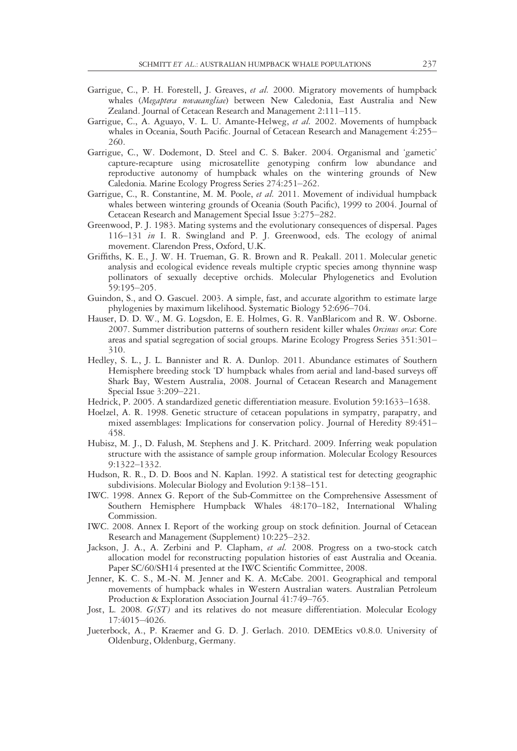- Garrigue, C., P. H. Forestell, J. Greaves, et al. 2000. Migratory movements of humpback whales (Megaptera novaeangliae) between New Caledonia, East Australia and New Zealand. Journal of Cetacean Research and Management 2:111–115.
- Garrigue, C., A. Aguayo, V. L. U. Amante-Helweg, et al. 2002. Movements of humpback whales in Oceania, South Pacific. Journal of Cetacean Research and Management 4:255– 260.
- Garrigue, C., W. Dodemont, D. Steel and C. S. Baker. 2004. Organismal and 'gametic' capture-recapture using microsatellite genotyping confirm low abundance and reproductive autonomy of humpback whales on the wintering grounds of New Caledonia. Marine Ecology Progress Series 274:251–262.
- Garrigue, C., R. Constantine, M. M. Poole, et al. 2011. Movement of individual humpback whales between wintering grounds of Oceania (South Pacific), 1999 to 2004. Journal of Cetacean Research and Management Special Issue 3:275–282.
- Greenwood, P. J. 1983. Mating systems and the evolutionary consequences of dispersal. Pages 116–131 in I. R. Swingland and P. J. Greenwood, eds. The ecology of animal movement. Clarendon Press, Oxford, U.K.
- Griffiths, K. E., J. W. H. Trueman, G. R. Brown and R. Peakall. 2011. Molecular genetic analysis and ecological evidence reveals multiple cryptic species among thynnine wasp pollinators of sexually deceptive orchids. Molecular Phylogenetics and Evolution 59:195–205.
- Guindon, S., and O. Gascuel. 2003. A simple, fast, and accurate algorithm to estimate large phylogenies by maximum likelihood. Systematic Biology 52:696–704.
- Hauser, D. D. W., M. G. Logsdon, E. E. Holmes, G. R. VanBlaricom and R. W. Osborne. 2007. Summer distribution patterns of southern resident killer whales Orcinus orca: Core areas and spatial segregation of social groups. Marine Ecology Progress Series 351:301– 310.
- Hedley, S. L., J. L. Bannister and R. A. Dunlop. 2011. Abundance estimates of Southern Hemisphere breeding stock 'D' humpback whales from aerial and land-based surveys off Shark Bay, Western Australia, 2008. Journal of Cetacean Research and Management Special Issue 3:209–221.
- Hedrick, P. 2005. A standardized genetic differentiation measure. Evolution 59:1633–1638.
- Hoelzel, A. R. 1998. Genetic structure of cetacean populations in sympatry, parapatry, and mixed assemblages: Implications for conservation policy. Journal of Heredity 89:451– 458.
- Hubisz, M. J., D. Falush, M. Stephens and J. K. Pritchard. 2009. Inferring weak population structure with the assistance of sample group information. Molecular Ecology Resources 9:1322–1332.
- Hudson, R. R., D. D. Boos and N. Kaplan. 1992. A statistical test for detecting geographic subdivisions. Molecular Biology and Evolution 9:138–151.
- IWC. 1998. Annex G. Report of the Sub-Committee on the Comprehensive Assessment of Southern Hemisphere Humpback Whales 48:170–182, International Whaling Commission.
- IWC. 2008. Annex I. Report of the working group on stock definition. Journal of Cetacean Research and Management (Supplement) 10:225–232.
- Jackson, J. A., A. Zerbini and P. Clapham, et al. 2008. Progress on a two-stock catch allocation model for reconstructing population histories of east Australia and Oceania. Paper SC/60/SH14 presented at the IWC Scientific Committee, 2008.
- Jenner, K. C. S., M.-N. M. Jenner and K. A. McCabe. 2001. Geographical and temporal movements of humpback whales in Western Australian waters. Australian Petroleum Production & Exploration Association Journal 41:749–765.
- Jost, L. 2008. G(ST) and its relatives do not measure differentiation. Molecular Ecology 17:4015–4026.
- Jueterbock, A., P. Kraemer and G. D. J. Gerlach. 2010. DEMEtics v0.8.0. University of Oldenburg, Oldenburg, Germany.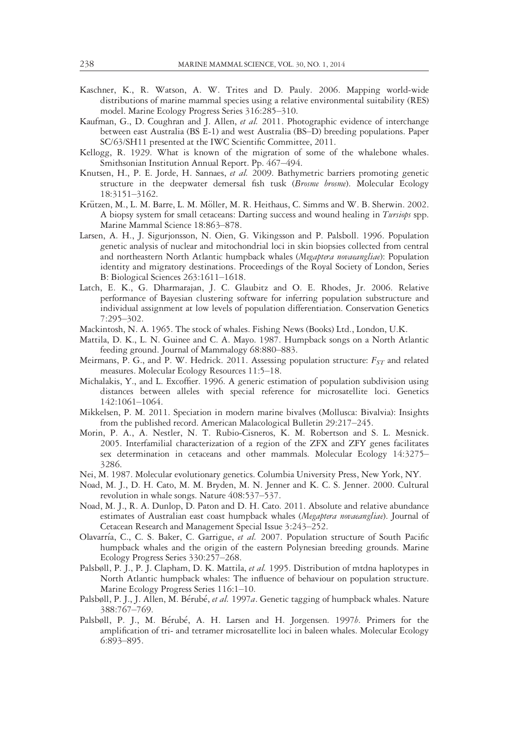- Kaschner, K., R. Watson, A. W. Trites and D. Pauly. 2006. Mapping world-wide distributions of marine mammal species using a relative environmental suitability (RES) model. Marine Ecology Progress Series 316:285–310.
- Kaufman, G., D. Coughran and J. Allen, et al. 2011. Photographic evidence of interchange between east Australia (BS E-1) and west Australia (BS–D) breeding populations. Paper SC/63/SH11 presented at the IWC Scientific Committee, 2011.
- Kellogg, R. 1929. What is known of the migration of some of the whalebone whales. Smithsonian Institution Annual Report. Pp. 467–494.
- Knutsen, H., P. E. Jorde, H. Sannaes, et al. 2009. Bathymetric barriers promoting genetic structure in the deepwater demersal fish tusk (Brosme brosme). Molecular Ecology 18:3151–3162.
- Krützen, M., L. M. Barre, L. M. Möller, M. R. Heithaus, C. Simms and W. B. Sherwin. 2002. A biopsy system for small cetaceans: Darting success and wound healing in *Tursiops* spp. Marine Mammal Science 18:863–878.
- Larsen, A. H., J. Sigurjonsson, N. Oien, G. Vikingsson and P. Palsboll. 1996. Population genetic analysis of nuclear and mitochondrial loci in skin biopsies collected from central and northeastern North Atlantic humpback whales (Megaptera novaeangliae): Population identity and migratory destinations. Proceedings of the Royal Society of London, Series B: Biological Sciences 263:1611–1618.
- Latch, E. K., G. Dharmarajan, J. C. Glaubitz and O. E. Rhodes, Jr. 2006. Relative performance of Bayesian clustering software for inferring population substructure and individual assignment at low levels of population differentiation. Conservation Genetics 7:295–302.
- Mackintosh, N. A. 1965. The stock of whales. Fishing News (Books) Ltd., London, U.K.
- Mattila, D. K., L. N. Guinee and C. A. Mayo. 1987. Humpback songs on a North Atlantic feeding ground. Journal of Mammalogy 68:880–883.
- Meirmans, P. G., and P. W. Hedrick. 2011. Assessing population structure:  $F_{ST}$  and related measures. Molecular Ecology Resources 11:5–18.
- Michalakis, Y., and L. Excoffier. 1996. A generic estimation of population subdivision using distances between alleles with special reference for microsatellite loci. Genetics 142:1061–1064.
- Mikkelsen, P. M. 2011. Speciation in modern marine bivalves (Mollusca: Bivalvia): Insights from the published record. American Malacological Bulletin 29:217–245.
- Morin, P. A., A. Nestler, N. T. Rubio-Cisneros, K. M. Robertson and S. L. Mesnick. 2005. Interfamilial characterization of a region of the ZFX and ZFY genes facilitates sex determination in cetaceans and other mammals. Molecular Ecology 14:3275– 3286.
- Nei, M. 1987. Molecular evolutionary genetics. Columbia University Press, New York, NY.
- Noad, M. J., D. H. Cato, M. M. Bryden, M. N. Jenner and K. C. S. Jenner. 2000. Cultural revolution in whale songs. Nature 408:537–537.
- Noad, M. J., R. A. Dunlop, D. Paton and D. H. Cato. 2011. Absolute and relative abundance estimates of Australian east coast humpback whales (Megaptera novaeangliae). Journal of Cetacean Research and Management Special Issue 3:243–252.
- Olavarría, C., C. S. Baker, C. Garrigue, et al. 2007. Population structure of South Pacific humpback whales and the origin of the eastern Polynesian breeding grounds. Marine Ecology Progress Series 330:257–268.
- Palsbøll, P. J., P. J. Clapham, D. K. Mattila, et al. 1995. Distribution of mtdna haplotypes in North Atlantic humpback whales: The influence of behaviour on population structure. Marine Ecology Progress Series 116:1–10.
- Palsbøll, P. J., J. Allen, M. Bérubé, et al. 1997a. Genetic tagging of humpback whales. Nature 388:767–769.
- Palsbøll, P. J., M. Bérubé, A. H. Larsen and H. Jorgensen. 1997b. Primers for the amplification of tri- and tetramer microsatellite loci in baleen whales. Molecular Ecology 6:893–895.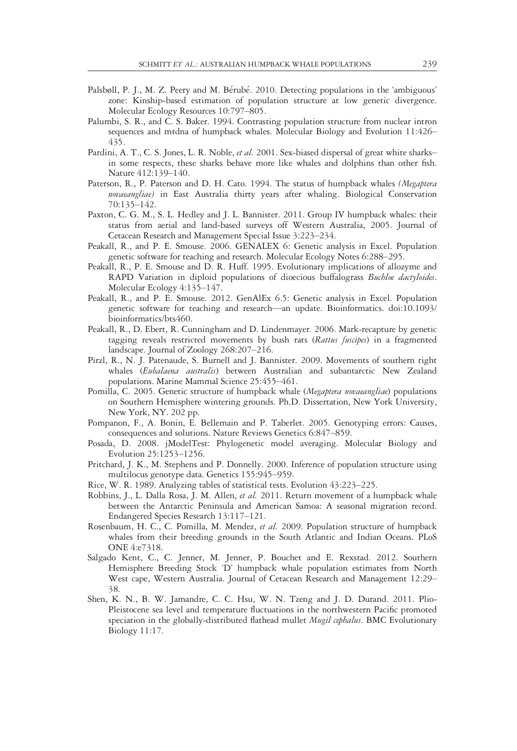- Palsbøll, P. J., M. Z. Peery and M. Bérubé. 2010. Detecting populations in the 'ambiguous' zone: Kinship-based estimation of population structure at low genetic divergence. Molecular Ecology Resources 10:797–805.
- Palumbi, S. R., and C. S. Baker. 1994. Contrasting population structure from nuclear intron sequences and mtdna of humpback whales. Molecular Biology and Evolution 11:426– 435.
- Pardini, A. T., C. S. Jones, L. R. Noble, *et al.* 2001. Sex-biased dispersal of great white sharks– in some respects, these sharks behave more like whales and dolphins than other fish. Nature 412:139–140.
- Paterson, R., P. Paterson and D. H. Cato. 1994. The status of humpback whales (Megaptera novaeangliae) in East Australia thirty years after whaling. Biological Conservation 70:135–142.
- Paxton, C. G. M., S. L. Hedley and J. L. Bannister. 2011. Group IV humpback whales: their status from aerial and land-based surveys off Western Australia, 2005. Journal of Cetacean Research and Management Special Issue 3:223–234.
- Peakall, R., and P. E. Smouse. 2006. GENALEX 6: Genetic analysis in Excel. Population genetic software for teaching and research. Molecular Ecology Notes 6:288–295.
- Peakall, R., P. E. Smouse and D. R. Huff. 1995. Evolutionary implications of allozyme and RAPD Variation in diploid populations of dioecious buffalograss *Buchloe dactyloides*. Molecular Ecology 4:135–147.
- Peakall, R., and P. E. Smouse. 2012. GenAlEx 6.5: Genetic analysis in Excel. Population genetic software for teaching and research—an update. Bioinformatics. doi:10.1093/ bioinformatics/bts460.
- Peakall, R., D. Ebert, R. Cunningham and D. Lindenmayer. 2006. Mark-recapture by genetic tagging reveals restricted movements by bush rats (Rattus fuscipes) in a fragmented landscape. Journal of Zoology 268:207–216.
- Pirzl, R., N. J. Patenaude, S. Burnell and J. Bannister. 2009. Movements of southern right whales (Eubalaena australis) between Australian and subantarctic New Zealand populations. Marine Mammal Science 25:455–461.
- Pomilla, C. 2005. Genetic structure of humpback whale (Megaptera novaeangliae) populations on Southern Hemisphere wintering grounds. Ph.D. Dissertation, New York University, New York, NY. 202 pp.
- Pompanon, F., A. Bonin, E. Bellemain and P. Taberlet. 2005. Genotyping errors: Causes, consequences and solutions. Nature Reviews Genetics 6:847–859.
- Posada, D. 2008. jModelTest: Phylogenetic model averaging. Molecular Biology and Evolution 25:1253–1256.
- Pritchard, J. K., M. Stephens and P. Donnelly. 2000. Inference of population structure using multilocus genotype data. Genetics 155:945–959.
- Rice, W. R. 1989. Analyzing tables of statistical tests. Evolution 43:223–225.
- Robbins, J., L. Dalla Rosa, J. M. Allen, et al. 2011. Return movement of a humpback whale between the Antarctic Peninsula and American Samoa: A seasonal migration record. Endangered Species Research 13:117–121.
- Rosenbaum, H. C., C. Pomilla, M. Mendez, et al. 2009. Population structure of humpback whales from their breeding grounds in the South Atlantic and Indian Oceans. PLoS ONE 4:e7318.
- Salgado Kent, C., C. Jenner, M. Jenner, P. Bouchet and E. Rexstad. 2012. Southern Hemisphere Breeding Stock 'D' humpback whale population estimates from North West cape, Western Australia. Journal of Cetacean Research and Management 12:29– 38.
- Shen, K. N., B. W. Jamandre, C. C. Hsu, W. N. Tzeng and J. D. Durand. 2011. Plio-Pleistocene sea level and temperature fluctuations in the northwestern Pacific promoted speciation in the globally-distributed flathead mullet *Mugil cephalus*. BMC Evolutionary Biology 11:17.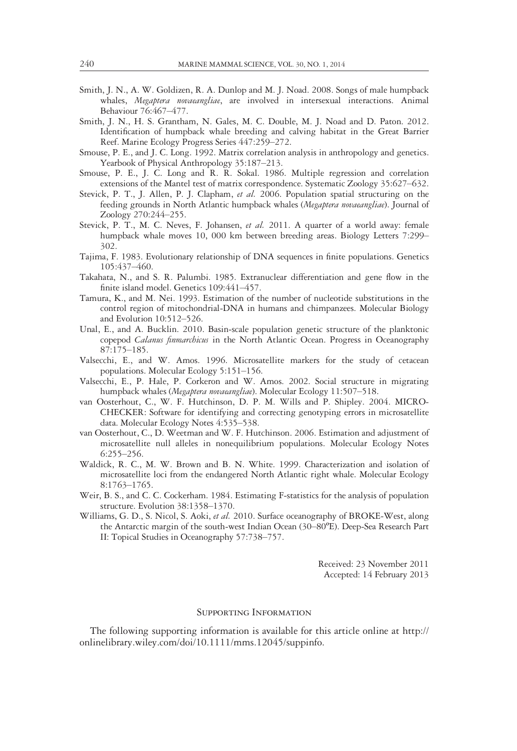- Smith, J. N., A. W. Goldizen, R. A. Dunlop and M. J. Noad. 2008. Songs of male humpback whales, Megaptera novaeangliae, are involved in intersexual interactions. Animal Behaviour 76:467–477.
- Smith, J. N., H. S. Grantham, N. Gales, M. C. Double, M. J. Noad and D. Paton. 2012. Identification of humpback whale breeding and calving habitat in the Great Barrier Reef. Marine Ecology Progress Series 447:259–272.
- Smouse, P. E., and J. C. Long. 1992. Matrix correlation analysis in anthropology and genetics. Yearbook of Physical Anthropology 35:187–213.
- Smouse, P. E., J. C. Long and R. R. Sokal. 1986. Multiple regression and correlation extensions of the Mantel test of matrix correspondence. Systematic Zoology 35:627–632.
- Stevick, P. T., J. Allen, P. J. Clapham, et al. 2006. Population spatial structuring on the feeding grounds in North Atlantic humpback whales (Megaptera novaeangliae). Journal of Zoology 270:244–255.
- Stevick, P. T., M. C. Neves, F. Johansen, et al. 2011. A quarter of a world away: female humpback whale moves 10, 000 km between breeding areas. Biology Letters 7:299– 302.
- Tajima, F. 1983. Evolutionary relationship of DNA sequences in finite populations. Genetics 105:437–460.
- Takahata, N., and S. R. Palumbi. 1985. Extranuclear differentiation and gene flow in the finite island model. Genetics 109:441–457.
- Tamura, K., and M. Nei. 1993. Estimation of the number of nucleotide substitutions in the control region of mitochondrial-DNA in humans and chimpanzees. Molecular Biology and Evolution 10:512–526.
- Unal, E., and A. Bucklin. 2010. Basin-scale population genetic structure of the planktonic copepod *Calanus finmarchicus* in the North Atlantic Ocean. Progress in Oceanography 87:175–185.
- Valsecchi, E., and W. Amos. 1996. Microsatellite markers for the study of cetacean populations. Molecular Ecology 5:151–156.
- Valsecchi, E., P. Hale, P. Corkeron and W. Amos. 2002. Social structure in migrating humpback whales (Megaptera novaeangliae). Molecular Ecology 11:507-518.
- van Oosterhout, C., W. F. Hutchinson, D. P. M. Wills and P. Shipley. 2004. MICRO-CHECKER: Software for identifying and correcting genotyping errors in microsatellite data. Molecular Ecology Notes 4:535–538.
- van Oosterhout, C., D. Weetman and W. F. Hutchinson. 2006. Estimation and adjustment of microsatellite null alleles in nonequilibrium populations. Molecular Ecology Notes 6:255–256.
- Waldick, R. C., M. W. Brown and B. N. White. 1999. Characterization and isolation of microsatellite loci from the endangered North Atlantic right whale. Molecular Ecology 8:1763–1765.
- Weir, B. S., and C. C. Cockerham. 1984. Estimating F-statistics for the analysis of population structure. Evolution 38:1358–1370.
- Williams, G. D., S. Nicol, S. Aoki, et al. 2010. Surface oceanography of BROKE-West, along the Antarctic margin of the south-west Indian Ocean (30–80ºE). Deep-Sea Research Part II: Topical Studies in Oceanography 57:738–757.

Received: 23 November 2011 Accepted: 14 February 2013

#### Supporting Information

The following supporting information is available for this article online at http:// onlinelibrary.wiley.com/doi/10.1111/mms.12045/suppinfo.